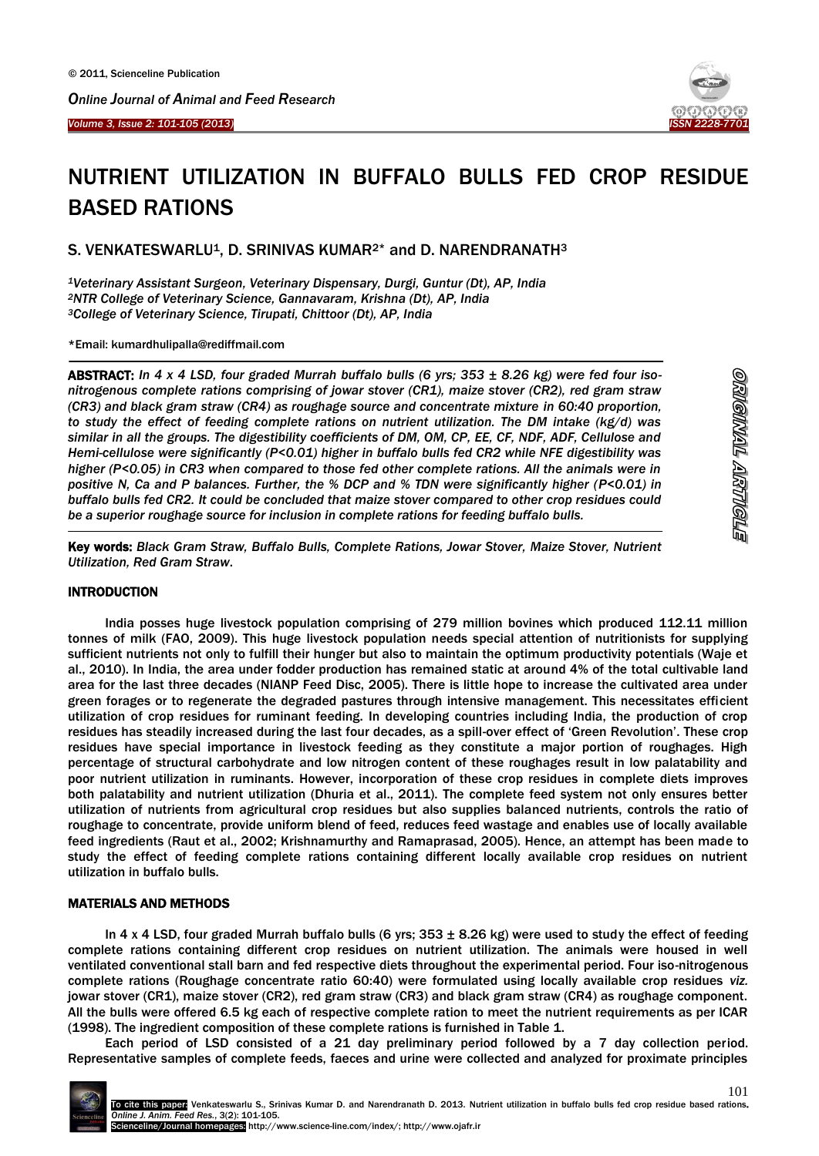*Online Journal of Animal and Feed Research* 





# NUTRIENT UTILIZATION IN BUFFALO BULLS FED CROP RESIDUE BASED RATIONS

S. VENKATESWARLU<sup>1</sup>, D. SRINIVAS KUMAR<sup>2\*</sup> and D. NARENDRANATH<sup>3</sup>

*<sup>1</sup>Veterinary Assistant Surgeon, Veterinary Dispensary, Durgi, Guntur (Dt), AP, India <sup>2</sup>NTR College of Veterinary Science, Gannavaram, Krishna (Dt), AP, India <sup>3</sup>College of Veterinary Science, Tirupati, Chittoor (Dt), AP, India*

\*Email: kumardhulipalla@rediffmail.com

ABSTRACT: *In 4 x 4 LSD, four graded Murrah buffalo bulls (6 yrs; 353 ± 8.26 kg) were fed four isonitrogenous complete rations comprising of jowar stover (CR1), maize stover (CR2), red gram straw (CR3) and black gram straw (CR4) as roughage source and concentrate mixture in 60:40 proportion, to study the effect of feeding complete rations on nutrient utilization. The DM intake (kg/d) was similar in all the groups. The digestibility coefficients of DM, OM, CP, EE, CF, NDF, ADF, Cellulose and Hemi-cellulose were significantly (P<0.01) higher in buffalo bulls fed CR2 while NFE digestibility was higher (P<0.05) in CR3 when compared to those fed other complete rations. All the animals were in positive N, Ca and P balances. Further, the % DCP and % TDN were significantly higher (P<0.01) in buffalo bulls fed CR2. It could be concluded that maize stover compared to other crop residues could be a superior roughage source for inclusion in complete rations for feeding buffalo bulls.*

Key words: *Black Gram Straw, Buffalo Bulls, Complete Rations, Jowar Stover, Maize Stover, Nutrient Utilization, Red Gram Straw*.

### **INTRODUCTION**

 $\overline{a}$ 

<u>.</u>

India posses huge livestock population comprising of 279 million bovines which produced 112.11 million tonnes of milk (FAO, 2009). This huge livestock population needs special attention of nutritionists for supplying sufficient nutrients not only to fulfill their hunger but also to maintain the optimum productivity potentials (Waje et al., 2010). In India, the area under fodder production has remained static at around 4% of the total cultivable land area for the last three decades (NIANP Feed Disc, 2005). There is little hope to increase the cultivated area under green forages or to regenerate the degraded pastures through intensive management. This necessitates efficient utilization of crop residues for ruminant feeding. In developing countries including India, the production of crop residues has steadily increased during the last four decades, as a spill-over effect of 'Green Revolution'. These crop residues have special importance in livestock feeding as they constitute a major portion of roughages. High percentage of structural carbohydrate and low nitrogen content of these roughages result in low palatability and poor nutrient utilization in ruminants. However, incorporation of these crop residues in complete diets improves both palatability and nutrient utilization (Dhuria et al., 2011). The complete feed system not only ensures better utilization of nutrients from agricultural crop residues but also supplies balanced nutrients, controls the ratio of roughage to concentrate, provide uniform blend of feed, reduces feed wastage and enables use of locally available feed ingredients (Raut et al., 2002; Krishnamurthy and Ramaprasad, 2005). Hence, an attempt has been made to study the effect of feeding complete rations containing different locally available crop residues on nutrient utilization in buffalo bulls.

#### MATERIALS AND METHODS

In 4 x 4 LSD, four graded Murrah buffalo bulls (6 yrs;  $353 \pm 8.26$  kg) were used to study the effect of feeding complete rations containing different crop residues on nutrient utilization. The animals were housed in well ventilated conventional stall barn and fed respective diets throughout the experimental period. Four iso-nitrogenous complete rations (Roughage concentrate ratio 60:40) were formulated using locally available crop residues *viz.* jowar stover (CR1), maize stover (CR2), red gram straw (CR3) and black gram straw (CR4) as roughage component. All the bulls were offered 6.5 kg each of respective complete ration to meet the nutrient requirements as per ICAR (1998). The ingredient composition of these complete rations is furnished in Table 1.

Each period of LSD consisted of a 21 day preliminary period followed by a 7 day collection period. Representative samples of complete feeds, faeces and urine were collected and analyzed for proximate principles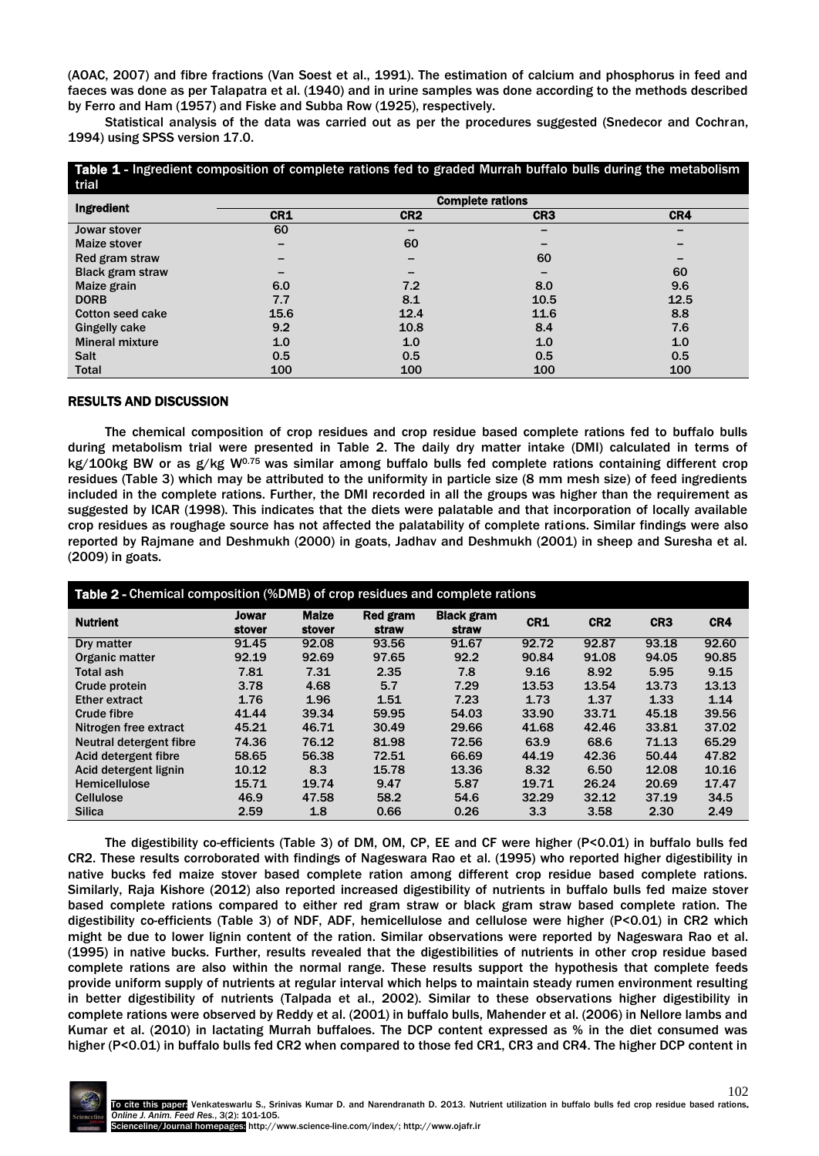(AOAC, 2007) and fibre fractions (Van Soest et al., 1991). The estimation of calcium and phosphorus in feed and faeces was done as per Talapatra et al. (1940) and in urine samples was done according to the methods described by Ferro and Ham (1957) and Fiske and Subba Row (1925), respectively.

Statistical analysis of the data was carried out as per the procedures suggested (Snedecor and Cochran, 1994) using SPSS version 17.0.

| Table 1 - Ingredient composition of complete rations fed to graded Murrah buffalo bulls during the metabolism<br>trial |                         |                 |                 |      |  |  |
|------------------------------------------------------------------------------------------------------------------------|-------------------------|-----------------|-----------------|------|--|--|
| Ingredient                                                                                                             | <b>Complete rations</b> |                 |                 |      |  |  |
|                                                                                                                        | CR1                     | CR <sub>2</sub> | CR <sub>3</sub> | CR4  |  |  |
| Jowar stover                                                                                                           | 60                      |                 |                 |      |  |  |
| <b>Maize stover</b>                                                                                                    |                         | 60              |                 |      |  |  |
| Red gram straw                                                                                                         |                         |                 | 60              |      |  |  |
| <b>Black gram straw</b>                                                                                                |                         |                 |                 | 60   |  |  |
| Maize grain                                                                                                            | 6.0                     | 7.2             | 8.0             | 9.6  |  |  |
| <b>DORB</b>                                                                                                            | 7.7                     | 8.1             | 10.5            | 12.5 |  |  |
| <b>Cotton seed cake</b>                                                                                                | 15.6                    | 12.4            | 11.6            | 8.8  |  |  |
| Gingelly cake                                                                                                          | 9.2                     | 10.8            | 8.4             | 7.6  |  |  |
| <b>Mineral mixture</b>                                                                                                 | 1.0                     | 1.0             | 1.0             | 1.0  |  |  |
| <b>Salt</b>                                                                                                            | 0.5                     | 0.5             | 0.5             | 0.5  |  |  |
| <b>Total</b>                                                                                                           | 100                     | 100             | 100             | 100  |  |  |

#### RESULTS AND DISCUSSION

The chemical composition of crop residues and crop residue based complete rations fed to buffalo bulls during metabolism trial were presented in Table 2. The daily dry matter intake (DMI) calculated in terms of kg/100kg BW or as  $g/kg$  W<sup>0.75</sup> was similar among buffalo bulls fed complete rations containing different crop residues (Table 3) which may be attributed to the uniformity in particle size (8 mm mesh size) of feed ingredients included in the complete rations. Further, the DMI recorded in all the groups was higher than the requirement as suggested by ICAR (1998). This indicates that the diets were palatable and that incorporation of locally available crop residues as roughage source has not affected the palatability of complete rations. Similar findings were also reported by Rajmane and Deshmukh (2000) in goats, Jadhav and Deshmukh (2001) in sheep and Suresha et al. (2009) in goats.

| Table 2 - Chemical composition (%DMB) of crop residues and complete rations |                 |                        |                   |                            |       |                 |                 |       |
|-----------------------------------------------------------------------------|-----------------|------------------------|-------------------|----------------------------|-------|-----------------|-----------------|-------|
| <b>Nutrient</b>                                                             | Jowar<br>stover | <b>Maize</b><br>stover | Red gram<br>straw | <b>Black gram</b><br>straw | CR1   | CR <sub>2</sub> | CR <sub>3</sub> | CR4   |
| Dry matter                                                                  | 91.45           | 92.08                  | 93.56             | 91.67                      | 92.72 | 92.87           | 93.18           | 92.60 |
| Organic matter                                                              | 92.19           | 92.69                  | 97.65             | 92.2                       | 90.84 | 91.08           | 94.05           | 90.85 |
| Total ash                                                                   | 7.81            | 7.31                   | 2.35              | 7.8                        | 9.16  | 8.92            | 5.95            | 9.15  |
| Crude protein                                                               | 3.78            | 4.68                   | 5.7               | 7.29                       | 13.53 | 13.54           | 13.73           | 13.13 |
| <b>Ether extract</b>                                                        | 1.76            | 1.96                   | 1.51              | 7.23                       | 1.73  | 1.37            | 1.33            | 1.14  |
| <b>Crude fibre</b>                                                          | 41.44           | 39.34                  | 59.95             | 54.03                      | 33.90 | 33.71           | 45.18           | 39.56 |
| Nitrogen free extract                                                       | 45.21           | 46.71                  | 30.49             | 29.66                      | 41.68 | 42.46           | 33.81           | 37.02 |
| Neutral detergent fibre                                                     | 74.36           | 76.12                  | 81.98             | 72.56                      | 63.9  | 68.6            | 71.13           | 65.29 |
| Acid detergent fibre                                                        | 58.65           | 56.38                  | 72.51             | 66.69                      | 44.19 | 42.36           | 50.44           | 47.82 |
| Acid detergent lignin                                                       | 10.12           | 8.3                    | 15.78             | 13.36                      | 8.32  | 6.50            | 12.08           | 10.16 |
| Hemicellulose                                                               | 15.71           | 19.74                  | 9.47              | 5.87                       | 19.71 | 26.24           | 20.69           | 17.47 |
| <b>Cellulose</b>                                                            | 46.9            | 47.58                  | 58.2              | 54.6                       | 32.29 | 32.12           | 37.19           | 34.5  |
| <b>Silica</b>                                                               | 2.59            | 1.8                    | 0.66              | 0.26                       | 3.3   | 3.58            | 2.30            | 2.49  |

The digestibility co-efficients (Table 3) of DM, OM, CP, EE and CF were higher (P<0.01) in buffalo bulls fed CR2. These results corroborated with findings of Nageswara Rao et al. (1995) who reported higher digestibility in native bucks fed maize stover based complete ration among different crop residue based complete rations. Similarly, Raja Kishore (2012) also reported increased digestibility of nutrients in buffalo bulls fed maize stover based complete rations compared to either red gram straw or black gram straw based complete ration. The digestibility co-efficients (Table 3) of NDF, ADF, hemicellulose and cellulose were higher (P<0.01) in CR2 which might be due to lower lignin content of the ration. Similar observations were reported by Nageswara Rao et al. (1995) in native bucks. Further, results revealed that the digestibilities of nutrients in other crop residue based complete rations are also within the normal range. These results support the hypothesis that complete feeds provide uniform supply of nutrients at regular interval which helps to maintain steady rumen environment resulting in better digestibility of nutrients (Talpada et al., 2002). Similar to these observations higher digestibility in complete rations were observed by Reddy et al. (2001) in buffalo bulls, Mahender et al. (2006) in Nellore lambs and Kumar et al. (2010) in lactating Murrah buffaloes. The DCP content expressed as % in the diet consumed was higher (P<0.01) in buffalo bulls fed CR2 when compared to those fed CR1, CR3 and CR4. The higher DCP content in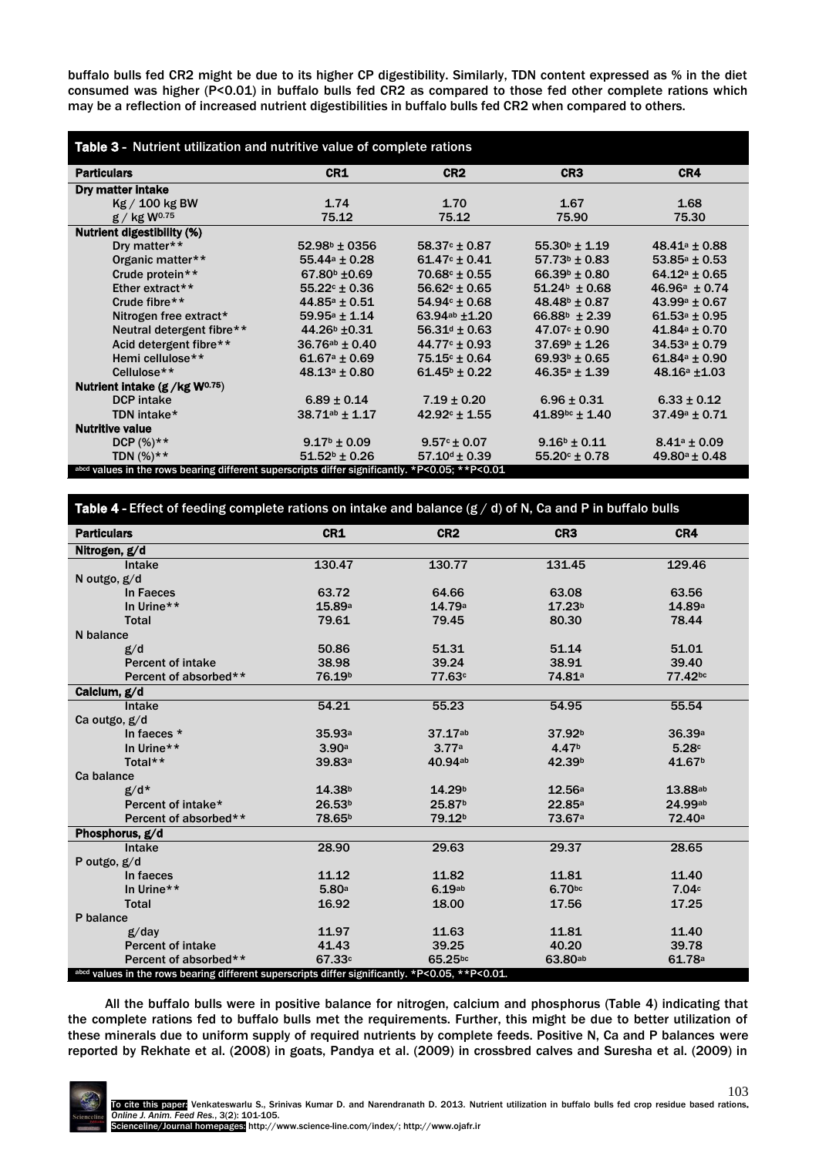buffalo bulls fed CR2 might be due to its higher CP digestibility. Similarly, TDN content expressed as % in the diet consumed was higher (P<0.01) in buffalo bulls fed CR2 as compared to those fed other complete rations which may be a reflection of increased nutrient digestibilities in buffalo bulls fed CR2 when compared to others.

| Table 3 - Nutrient utilization and nutritive value of complete rations                         |                          |                          |                              |                    |  |  |
|------------------------------------------------------------------------------------------------|--------------------------|--------------------------|------------------------------|--------------------|--|--|
| <b>Particulars</b>                                                                             | CR1                      | CR <sub>2</sub>          | CR <sub>3</sub>              | CR4                |  |  |
| Dry matter intake                                                                              |                          |                          |                              |                    |  |  |
| Kg / 100 kg BW                                                                                 | 1.74                     | 1.70                     | 1.67                         | 1.68               |  |  |
| $g / kg$ W <sup>0.75</sup>                                                                     | 75.12                    | 75.12                    | 75.90                        | 75.30              |  |  |
| <b>Nutrient digestibility (%)</b>                                                              |                          |                          |                              |                    |  |  |
| Dry matter**                                                                                   | $52.98^{\circ}$ ± 0356   | $58.37c \pm 0.87$        | $55.30^{\circ} \pm 1.19$     | $48.41^a \pm 0.88$ |  |  |
| Organic matter**                                                                               | $55.44a \pm 0.28$        | $61.47c \pm 0.41$        | $57.73b \pm 0.83$            | $53.85a \pm 0.53$  |  |  |
| Crude protein**                                                                                | $67.80^{\circ}$ ±0.69    | $70.68c \pm 0.55$        | $66.39^{\circ} \pm 0.80$     | $64.12a \pm 0.65$  |  |  |
| Ether extract**                                                                                | $55.22^{\circ} \pm 0.36$ | $56.62^{\circ} \pm 0.65$ | $51.24^b \pm 0.68$           | $46.96a \pm 0.74$  |  |  |
| Crude fibre**                                                                                  | $44.85a \pm 0.51$        | $54.94c \pm 0.68$        | $48.48^{\circ} \pm 0.87$     | $43.99a \pm 0.67$  |  |  |
| Nitrogen free extract*                                                                         | $59.95a \pm 1.14$        | 63.94ab ±1.20            | $66.88^{\circ}$ ± 2.39       | $61.53a \pm 0.95$  |  |  |
| Neutral detergent fibre**                                                                      | 44.26 <sup>b</sup> ±0.31 | $56.31^{\circ} \pm 0.63$ | $47.07c \pm 0.90$            | $41.84a \pm 0.70$  |  |  |
| Acid detergent fibre**                                                                         | $36.76^{ab} \pm 0.40$    | $44.77c \pm 0.93$        | $37.69^{\circ} \pm 1.26$     | $34.53a \pm 0.79$  |  |  |
| Hemi cellulose**                                                                               | $61.67a \pm 0.69$        | $75.15c \pm 0.64$        | $69.93^{\circ} \pm 0.65$     | $61.84a \pm 0.90$  |  |  |
| Cellulose **                                                                                   | $48.13a \pm 0.80$        | $61.45^{\circ} \pm 0.22$ | $46.35a \pm 1.39$            | $48.16a + 1.03$    |  |  |
| Nutrient intake $(g / kg W^{0.75})$                                                            |                          |                          |                              |                    |  |  |
| <b>DCP</b> intake                                                                              | $6.89 \pm 0.14$          | $7.19 \pm 0.20$          | $6.96 \pm 0.31$              | $6.33 \pm 0.12$    |  |  |
| TDN intake*                                                                                    | $38.71^{ab} \pm 1.17$    | $42.92c \pm 1.55$        | $41.89$ <sup>bc</sup> ± 1.40 | $37.49a \pm 0.71$  |  |  |
| <b>Nutritive value</b>                                                                         |                          |                          |                              |                    |  |  |
| DCP $(%)**$                                                                                    | $9.17^{\circ} \pm 0.09$  | $9.57c \pm 0.07$         | $9.16^{\circ} \pm 0.11$      | $8.41a \pm 0.09$   |  |  |
| <b>TDN</b> $(\%)**$                                                                            | $51.52^{\circ} \pm 0.26$ | $57.10d \pm 0.39$        | $55.20c \pm 0.78$            | $49.80a \pm 0.48$  |  |  |
| abcd values in the rows bearing different superscripts differ significantly. *P<0.05; **P<0.01 |                          |                          |                              |                    |  |  |

Table 4 - Effect of feeding complete rations on intake and balance  $(g / d)$  of N, Ca and P in buffalo bulls

| <b>Particulars</b>                                                                              | CR1                | CR <sub>2</sub>    | CR <sub>3</sub>    | CR4                |  |
|-------------------------------------------------------------------------------------------------|--------------------|--------------------|--------------------|--------------------|--|
| Nitrogen, g/d                                                                                   |                    |                    |                    |                    |  |
| Intake                                                                                          | 130.47             | 130.77             | 131.45             | 129.46             |  |
| N outgo, g/d                                                                                    |                    |                    |                    |                    |  |
| In Faeces                                                                                       | 63.72              | 64.66              | 63.08              | 63.56              |  |
| In Urine**                                                                                      | 15.89a             | 14.79a             | 17.23 <sup>b</sup> | 14.89a             |  |
| <b>Total</b>                                                                                    | 79.61              | 79.45              | 80.30              | 78.44              |  |
| N balance                                                                                       |                    |                    |                    |                    |  |
| g/d                                                                                             | 50.86              | 51.31              | 51.14              | 51.01              |  |
| <b>Percent of intake</b>                                                                        | 38.98              | 39.24              | 38.91              | 39.40              |  |
| Percent of absorbed**                                                                           | 76.19 <sup>b</sup> | 77.63c             | 74.81 <sup>a</sup> | 77.42bc            |  |
| Calcium, g/d                                                                                    |                    |                    |                    |                    |  |
| Intake                                                                                          | 54.21              | 55.23              | 54.95              | 55.54              |  |
| Ca outgo, g/d                                                                                   |                    |                    |                    |                    |  |
| In faeces *                                                                                     | 35.93a             | 37.17ab            | 37.92 <sup>b</sup> | 36.39 <sup>a</sup> |  |
| In Urine**                                                                                      | 3.90a              | 3.77a              | 4.47 <sup>b</sup>  | 5.28c              |  |
| Total**                                                                                         | 39.83 <sup>a</sup> | 40.94ab            | 42.39 <sup>b</sup> | 41.67 <sup>b</sup> |  |
| Ca balance                                                                                      |                    |                    |                    |                    |  |
| $g/d*$                                                                                          | 14.38 <sup>b</sup> | 14.29 <sup>b</sup> | 12.56a             | 13.88ab            |  |
| Percent of intake*                                                                              | 26.53 <sup>b</sup> | 25.87 <sup>b</sup> | 22.85a             | 24.99ab            |  |
| Percent of absorbed**                                                                           | 78.65 <sup>b</sup> | 79.12 <sup>b</sup> | 73.67 <sup>a</sup> | 72.40 <sup>a</sup> |  |
| Phosphorus, g/d                                                                                 |                    |                    |                    |                    |  |
| Intake                                                                                          | 28.90              | 29.63              | 29.37              | 28.65              |  |
| P outgo, g/d                                                                                    |                    |                    |                    |                    |  |
| In faeces                                                                                       | 11.12              | 11.82              | 11.81              | 11.40              |  |
| In Urine**                                                                                      | 5.80a              | 6.19ab             | 6.70bc             | 7.04c              |  |
| <b>Total</b>                                                                                    | 16.92              | 18.00              | 17.56              | 17.25              |  |
| P balance                                                                                       |                    |                    |                    |                    |  |
| g/day                                                                                           | 11.97              | 11.63              | 11.81              | 11.40              |  |
| <b>Percent of intake</b>                                                                        | 41.43              | 39.25              | 40.20              | 39.78              |  |
| Percent of absorbed**                                                                           | 67.33c             | 65.25bc            | 63.80ab            | 61.78 <sup>a</sup> |  |
| abcd values in the rows bearing different superscripts differ significantly. *P<0.05, **P<0.01. |                    |                    |                    |                    |  |

All the buffalo bulls were in positive balance for nitrogen, calcium and phosphorus (Table 4) indicating that the complete rations fed to buffalo bulls met the requirements. Further, this might be due to better utilization of these minerals due to uniform supply of required nutrients by complete feeds. Positive N, Ca and P balances were reported by Rekhate et al. (2008) in goats, Pandya et al. (2009) in crossbred calves and Suresha et al. (2009) in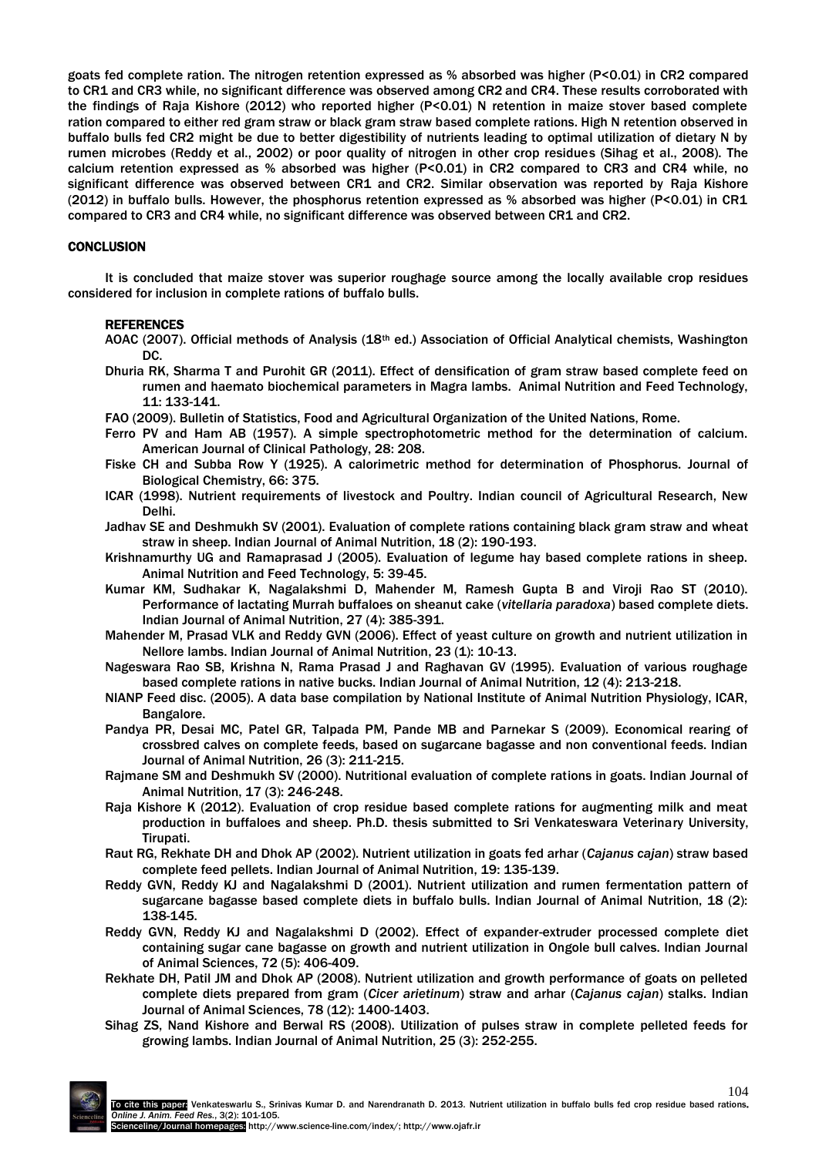goats fed complete ration. The nitrogen retention expressed as % absorbed was higher (P<0.01) in CR2 compared to CR1 and CR3 while, no significant difference was observed among CR2 and CR4. These results corroborated with the findings of Raja Kishore (2012) who reported higher (P<0.01) N retention in maize stover based complete ration compared to either red gram straw or black gram straw based complete rations. High N retention observed in buffalo bulls fed CR2 might be due to better digestibility of nutrients leading to optimal utilization of dietary N by rumen microbes (Reddy et al., 2002) or poor quality of nitrogen in other crop residues (Sihag et al., 2008). The calcium retention expressed as % absorbed was higher (P<0.01) in CR2 compared to CR3 and CR4 while, no significant difference was observed between CR1 and CR2. Similar observation was reported by Raja Kishore (2012) in buffalo bulls. However, the phosphorus retention expressed as % absorbed was higher (P<0.01) in CR1 compared to CR3 and CR4 while, no significant difference was observed between CR1 and CR2.

## **CONCLUSION**

It is concluded that maize stover was superior roughage source among the locally available crop residues considered for inclusion in complete rations of buffalo bulls.

#### **REFERENCES**

- AOAC (2007). Official methods of Analysis (18th ed.) Association of Official Analytical chemists, Washington DC.
- Dhuria RK, Sharma T and Purohit GR (2011). Effect of densification of gram straw based complete feed on rumen and haemato biochemical parameters in Magra lambs. Animal Nutrition and Feed Technology, 11: 133-141.
- FAO (2009). Bulletin of Statistics, Food and Agricultural Organization of the United Nations, Rome.
- Ferro PV and Ham AB (1957). A simple spectrophotometric method for the determination of calcium. American Journal of Clinical Pathology, 28: 208.
- Fiske CH and Subba Row Y (1925). A calorimetric method for determination of Phosphorus. Journal of Biological Chemistry, 66: 375.
- ICAR (1998). Nutrient requirements of livestock and Poultry. Indian council of Agricultural Research, New Delhi.
- Jadhav SE and Deshmukh SV (2001). Evaluation of complete rations containing black gram straw and wheat straw in sheep. Indian Journal of Animal Nutrition, 18 (2): 190-193.
- Krishnamurthy UG and Ramaprasad J (2005). Evaluation of legume hay based complete rations in sheep. Animal Nutrition and Feed Technology, 5: 39-45.
- Kumar KM, Sudhakar K, Nagalakshmi D, Mahender M, Ramesh Gupta B and Viroji Rao ST (2010). Performance of lactating Murrah buffaloes on sheanut cake (*vitellaria paradoxa*) based complete diets. Indian Journal of Animal Nutrition, 27 (4): 385-391.
- Mahender M, Prasad VLK and Reddy GVN (2006). Effect of yeast culture on growth and nutrient utilization in Nellore lambs. Indian Journal of Animal Nutrition, 23 (1): 10-13.
- Nageswara Rao SB, Krishna N, Rama Prasad J and Raghavan GV (1995). Evaluation of various roughage based complete rations in native bucks. Indian Journal of Animal Nutrition, 12 (4): 213-218.
- NIANP Feed disc. (2005). A data base compilation by National Institute of Animal Nutrition Physiology, ICAR, Bangalore.
- Pandya PR, Desai MC, Patel GR, Talpada PM, Pande MB and Parnekar S (2009). Economical rearing of crossbred calves on complete feeds, based on sugarcane bagasse and non conventional feeds. Indian Journal of Animal Nutrition, 26 (3): 211-215.
- Rajmane SM and Deshmukh SV (2000). Nutritional evaluation of complete rations in goats. Indian Journal of Animal Nutrition, 17 (3): 246-248.
- Raja Kishore K (2012). Evaluation of crop residue based complete rations for augmenting milk and meat production in buffaloes and sheep. Ph.D. thesis submitted to Sri Venkateswara Veterinary University, Tirupati.
- Raut RG, Rekhate DH and Dhok AP (2002). Nutrient utilization in goats fed arhar (*Cajanus cajan*) straw based complete feed pellets. Indian Journal of Animal Nutrition, 19: 135-139.
- Reddy GVN, Reddy KJ and Nagalakshmi D (2001). Nutrient utilization and rumen fermentation pattern of sugarcane bagasse based complete diets in buffalo bulls. Indian Journal of Animal Nutrition, 18 (2): 138-145.
- Reddy GVN, Reddy KJ and Nagalakshmi D (2002). Effect of expander-extruder processed complete diet containing sugar cane bagasse on growth and nutrient utilization in Ongole bull calves. Indian Journal of Animal Sciences, 72 (5): 406-409.
- Rekhate DH, Patil JM and Dhok AP (2008). Nutrient utilization and growth performance of goats on pelleted complete diets prepared from gram (*Cicer arietinum*) straw and arhar (*Cajanus cajan*) stalks. Indian Journal of Animal Sciences, 78 (12): 1400-1403.
- Sihag ZS, Nand Kishore and Berwal RS (2008). Utilization of pulses straw in complete pelleted feeds for growing lambs. Indian Journal of Animal Nutrition, 25 (3): 252-255.